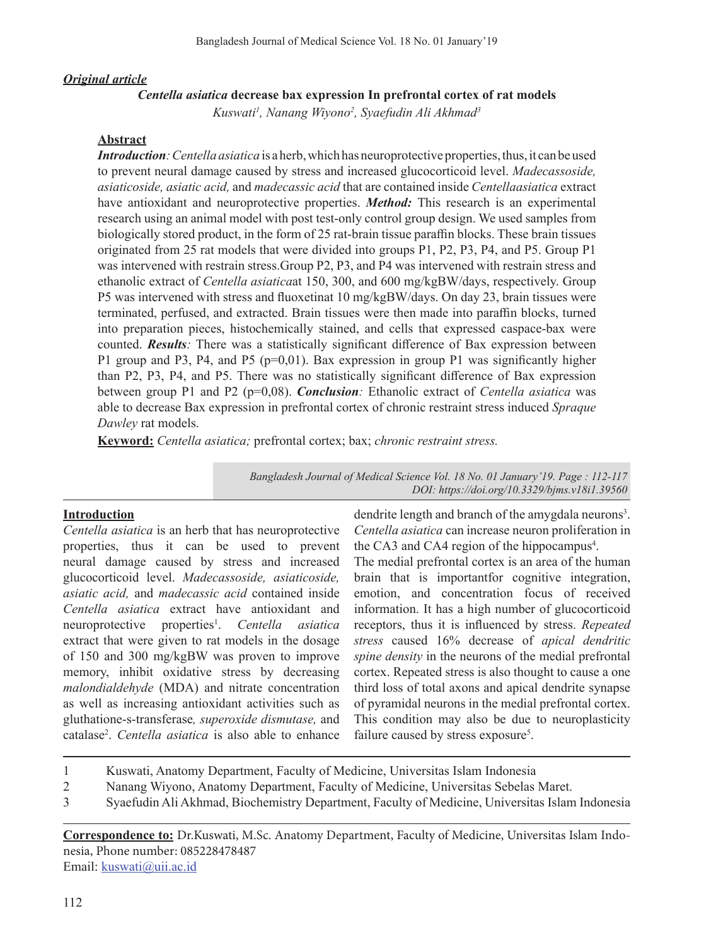## *Original article*

## *Centella asiatica* **decrease bax expression In prefrontal cortex of rat models**

*Kuswati1 , Nanang Wiyono2 , Syaefudin Ali Akhmad3*

#### **Abstract**

*Introduction*: *Centella asiatica* is a herb, which has neuroprotective properties, thus, it can be used to prevent neural damage caused by stress and increased glucocorticoid level. *Madecassoside, asiaticoside, asiatic acid,* and *madecassic acid* that are contained inside *Centellaasiatica* extract have antioxidant and neuroprotective properties. *Method:* This research is an experimental research using an animal model with post test-only control group design. We used samples from biologically stored product, in the form of 25 rat-brain tissue paraffin blocks. These brain tissues originated from 25 rat models that were divided into groups P1, P2, P3, P4, and P5. Group P1 was intervened with restrain stress.Group P2, P3, and P4 was intervened with restrain stress and ethanolic extract of *Centella asiatica*at 150, 300, and 600 mg/kgBW/days, respectively. Group P5 was intervened with stress and fluoxetinat 10 mg/kgBW/days. On day 23, brain tissues were terminated, perfused, and extracted. Brain tissues were then made into paraffin blocks, turned into preparation pieces, histochemically stained, and cells that expressed caspace-bax were counted. *Results:* There was a statistically significant difference of Bax expression between P1 group and P3, P4, and P5 (p=0,01). Bax expression in group P1 was significantly higher than P2, P3, P4, and P5. There was no statistically significant difference of Bax expression between group P1 and P2 (p=0,08). *Conclusion:* Ethanolic extract of *Centella asiatica* was able to decrease Bax expression in prefrontal cortex of chronic restraint stress induced *Spraque Dawley* rat models.

**Keyword:** *Centella asiatica;* prefrontal cortex; bax; *chronic restraint stress.*

*Bangladesh Journal of Medical Science Vol. 18 No. 01 January'19. Page : 112-117 DOI: https://doi.org/10.3329/bjms.v18i1.39560*

### **Introduction**

*Centella asiatica* is an herb that has neuroprotective properties, thus it can be used to prevent neural damage caused by stress and increased glucocorticoid level. *Madecassoside, asiaticoside, asiatic acid,* and *madecassic acid* contained inside *Centella asiatica* extract have antioxidant and neuroprotective properties<sup>1</sup>. Centella asiatica extract that were given to rat models in the dosage of 150 and 300 mg/kgBW was proven to improve memory, inhibit oxidative stress by decreasing *malondialdehyde* (MDA) and nitrate concentration as well as increasing antioxidant activities such as gluthatione-s-transferase*, superoxide dismutase,* and catalase<sup>2</sup> . *Centella asiatica* is also able to enhance

dendrite length and branch of the amygdala neurons<sup>3</sup>. *Centella asiatica* can increase neuron proliferation in the CA3 and CA4 region of the hippocampus<sup>4</sup>.

The medial prefrontal cortex is an area of the human brain that is importantfor cognitive integration, emotion, and concentration focus of received information. It has a high number of glucocorticoid receptors, thus it is influenced by stress. *Repeated stress* caused 16% decrease of *apical dendritic spine density* in the neurons of the medial prefrontal cortex. Repeated stress is also thought to cause a one third loss of total axons and apical dendrite synapse of pyramidal neurons in the medial prefrontal cortex. This condition may also be due to neuroplasticity failure caused by stress exposure<sup>5</sup>.

- 1 Kuswati, Anatomy Department, Faculty of Medicine, Universitas Islam Indonesia
- 2 Nanang Wiyono, Anatomy Department, Faculty of Medicine, Universitas Sebelas Maret.
- 3 Syaefudin Ali Akhmad, Biochemistry Department, Faculty of Medicine, Universitas Islam Indonesia

**Correspondence to:** Dr.Kuswati, M.Sc. Anatomy Department, Faculty of Medicine, Universitas Islam Indonesia, Phone number: 085228478487 Email: kuswati@uii.ac.id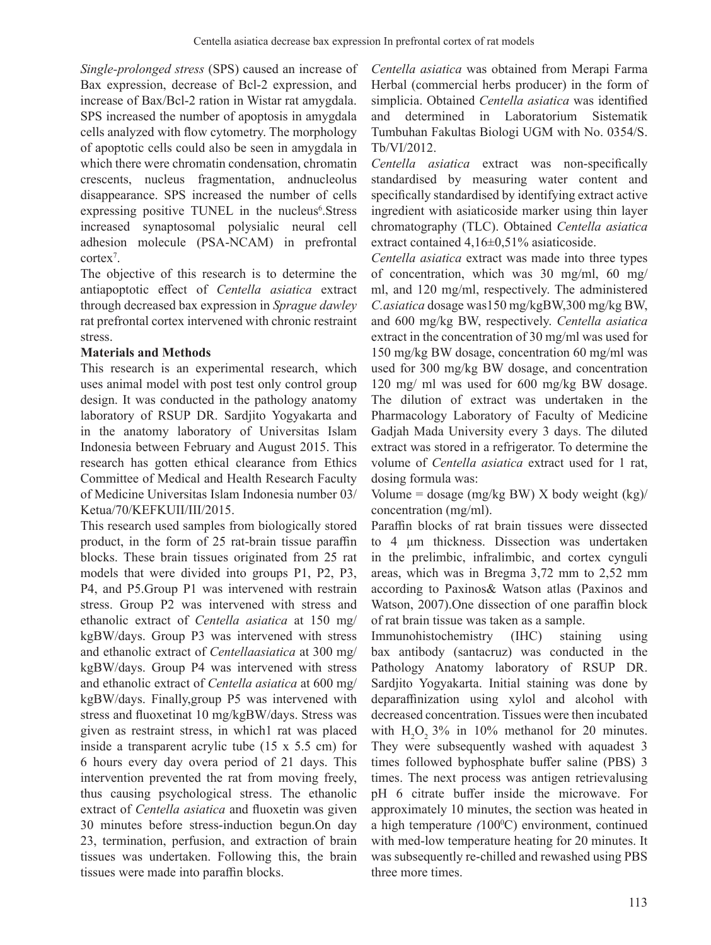*Single-prolonged stress* (SPS) caused an increase of Bax expression, decrease of Bcl-2 expression, and increase of Bax/Bcl-2 ration in Wistar rat amygdala. SPS increased the number of apoptosis in amygdala cells analyzed with flow cytometry. The morphology of apoptotic cells could also be seen in amygdala in which there were chromatin condensation, chromatin crescents, nucleus fragmentation, andnucleolus disappearance. SPS increased the number of cells expressing positive TUNEL in the nucleus<sup>6</sup>.Stress increased synaptosomal polysialic neural cell adhesion molecule (PSA-NCAM) in prefrontal cortex7 .

The objective of this research is to determine the antiapoptotic effect of *Centella asiatica* extract through decreased bax expression in *Sprague dawley* rat prefrontal cortex intervened with chronic restraint stress.

## **Materials and Methods**

This research is an experimental research, which uses animal model with post test only control group design. It was conducted in the pathology anatomy laboratory of RSUP DR. Sardjito Yogyakarta and in the anatomy laboratory of Universitas Islam Indonesia between February and August 2015. This research has gotten ethical clearance from Ethics Committee of Medical and Health Research Faculty of Medicine Universitas Islam Indonesia number 03/ Ketua/70/KEFKUII/III/2015.

This research used samples from biologically stored product, in the form of 25 rat-brain tissue paraffin blocks. These brain tissues originated from 25 rat models that were divided into groups P1, P2, P3, P4, and P5.Group P1 was intervened with restrain stress. Group P2 was intervened with stress and ethanolic extract of *Centella asiatica* at 150 mg/ kgBW/days. Group P3 was intervened with stress and ethanolic extract of *Centellaasiatica* at 300 mg/ kgBW/days. Group P4 was intervened with stress and ethanolic extract of *Centella asiatica* at 600 mg/ kgBW/days. Finally,group P5 was intervened with stress and fluoxetinat 10 mg/kgBW/days. Stress was given as restraint stress, in which1 rat was placed inside a transparent acrylic tube (15 x 5.5 cm) for 6 hours every day overa period of 21 days. This intervention prevented the rat from moving freely, thus causing psychological stress. The ethanolic extract of *Centella asiatica* and fluoxetin was given 30 minutes before stress-induction begun.On day 23, termination, perfusion, and extraction of brain tissues was undertaken. Following this, the brain tissues were made into paraffin blocks.

*Centella asiatica* was obtained from Merapi Farma Herbal (commercial herbs producer) in the form of simplicia. Obtained *Centella asiatica* was identified and determined in Laboratorium Sistematik Tumbuhan Fakultas Biologi UGM with No. 0354/S. Tb/VI/2012.

*Centella asiatica* extract was non-specifically standardised by measuring water content and specifically standardised by identifying extract active ingredient with asiaticoside marker using thin layer chromatography (TLC). Obtained *Centella asiatica* extract contained 4,16±0,51% asiaticoside.

*Centella asiatica* extract was made into three types of concentration, which was 30 mg/ml, 60 mg/ ml, and 120 mg/ml, respectively. The administered *C.asiatica* dosage was150 mg/kgBW,300 mg/kg BW, and 600 mg/kg BW, respectively. *Centella asiatica* extract in the concentration of 30 mg/ml was used for 150 mg/kg BW dosage, concentration 60 mg/ml was used for 300 mg/kg BW dosage, and concentration 120 mg/ ml was used for 600 mg/kg BW dosage. The dilution of extract was undertaken in the Pharmacology Laboratory of Faculty of Medicine Gadjah Mada University every 3 days. The diluted extract was stored in a refrigerator. To determine the volume of *Centella asiatica* extract used for 1 rat, dosing formula was:

Volume = dosage (mg/kg BW) X body weight  $(kg)$ concentration (mg/ml).

Paraffin blocks of rat brain tissues were dissected to 4 μm thickness. Dissection was undertaken in the prelimbic, infralimbic, and cortex cynguli areas, which was in Bregma 3,72 mm to 2,52 mm according to Paxinos& Watson atlas (Paxinos and Watson, 2007).One dissection of one paraffin block of rat brain tissue was taken as a sample.

Immunohistochemistry (IHC) staining using bax antibody (santacruz) was conducted in the Pathology Anatomy laboratory of RSUP DR. Sardjito Yogyakarta. Initial staining was done by deparaffinization using xylol and alcohol with decreased concentration. Tissues were then incubated with  $H_2O_2$  3% in 10% methanol for 20 minutes. They were subsequently washed with aquadest 3 times followed byphosphate buffer saline (PBS) 3 times. The next process was antigen retrievalusing pH 6 citrate buffer inside the microwave. For approximately 10 minutes, the section was heated in a high temperature (100°C) environment, continued with med-low temperature heating for 20 minutes. It was subsequently re-chilled and rewashed using PBS three more times.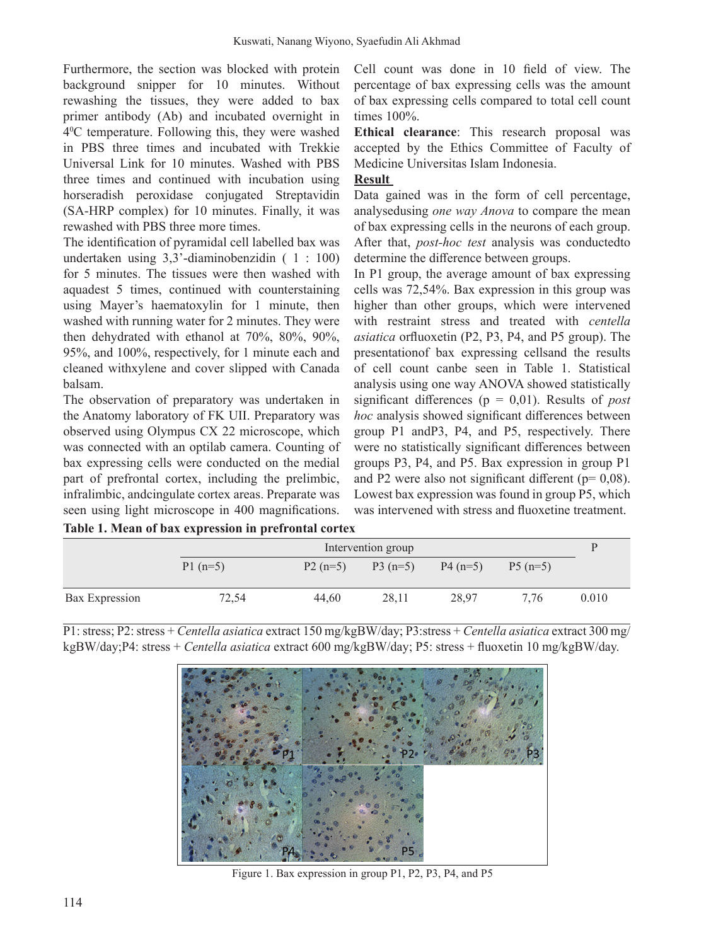Furthermore, the section was blocked with protein background snipper for 10 minutes. Without rewashing the tissues, they were added to bax primer antibody (Ab) and incubated overnight in 40 C temperature. Following this, they were washed in PBS three times and incubated with Trekkie Universal Link for 10 minutes. Washed with PBS three times and continued with incubation using horseradish peroxidase conjugated Streptavidin (SA-HRP complex) for 10 minutes. Finally, it was rewashed with PBS three more times.

The identification of pyramidal cell labelled bax was undertaken using 3,3'-diaminobenzidin ( 1 : 100) for 5 minutes. The tissues were then washed with aquadest 5 times, continued with counterstaining using Mayer's haematoxylin for 1 minute, then washed with running water for 2 minutes. They were then dehydrated with ethanol at 70%, 80%, 90%, 95%, and 100%, respectively, for 1 minute each and cleaned withxylene and cover slipped with Canada balsam.

The observation of preparatory was undertaken in the Anatomy laboratory of FK UII. Preparatory was observed using Olympus CX 22 microscope, which was connected with an optilab camera. Counting of bax expressing cells were conducted on the medial part of prefrontal cortex, including the prelimbic, infralimbic, andcingulate cortex areas. Preparate was seen using light microscope in 400 magnifications. Cell count was done in 10 field of view. The percentage of bax expressing cells was the amount of bax expressing cells compared to total cell count times 100%.

**Ethical clearance**: This research proposal was accepted by the Ethics Committee of Faculty of Medicine Universitas Islam Indonesia.

## **Result**

Data gained was in the form of cell percentage, analysedusing *one way Anova* to compare the mean of bax expressing cells in the neurons of each group. After that, *post-hoc test* analysis was conductedto determine the difference between groups.

In P1 group, the average amount of bax expressing cells was 72,54%. Bax expression in this group was higher than other groups, which were intervened with restraint stress and treated with *centella asiatica* orfluoxetin (P2, P3, P4, and P5 group). The presentationof bax expressing cellsand the results of cell count canbe seen in Table 1. Statistical analysis using one way ANOVA showed statistically significant differences (p = 0,01). Results of *post hoc* analysis showed significant differences between group P1 andP3, P4, and P5, respectively. There were no statistically significant differences between groups P3, P4, and P5. Bax expression in group P1 and P2 were also not significant different ( $p= 0.08$ ). Lowest bax expression was found in group P5, which was intervened with stress and fluoxetine treatment.

| Table 1. Mean of bax expression in prefrontal cortex |
|------------------------------------------------------|
|------------------------------------------------------|

|                | Intervention group |           |                     |       |           | р     |
|----------------|--------------------|-----------|---------------------|-------|-----------|-------|
|                | $P1(n=5)$          | $P2(n=5)$ | $P3(n=5)$ $P4(n=5)$ |       | $P5(n=5)$ |       |
| Bax Expression | 72,54              | 44.60     | 28.11               | 28.97 | 7.76      | 0.010 |

P1: stress; P2: stress + *Centella asiatica* extract 150 mg/kgBW/day; P3:stress + *Centella asiatica* extract 300 mg/ kgBW/day;P4: stress + *Centella asiatica* extract 600 mg/kgBW/day; P5: stress + fluoxetin 10 mg/kgBW/day.



Figure 1. Bax expression in group P1, P2, P3, P4, and P5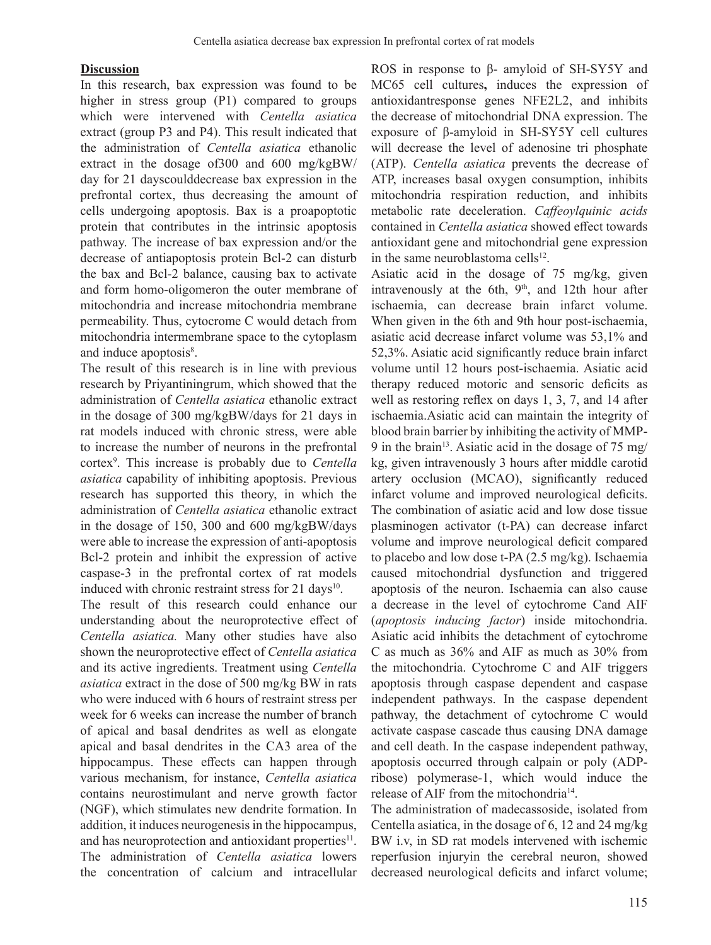#### **Discussion**

In this research, bax expression was found to be higher in stress group (P1) compared to groups which were intervened with *Centella asiatica* extract (group P3 and P4). This result indicated that the administration of *Centella asiatica* ethanolic extract in the dosage of300 and 600 mg/kgBW/ day for 21 dayscoulddecrease bax expression in the prefrontal cortex, thus decreasing the amount of cells undergoing apoptosis. Bax is a proapoptotic protein that contributes in the intrinsic apoptosis pathway. The increase of bax expression and/or the decrease of antiapoptosis protein Bcl-2 can disturb the bax and Bcl-2 balance, causing bax to activate and form homo-oligomeron the outer membrane of mitochondria and increase mitochondria membrane permeability. Thus, cytocrome C would detach from mitochondria intermembrane space to the cytoplasm and induce apoptosis<sup>8</sup>.

The result of this research is in line with previous research by Priyantiningrum, which showed that the administration of *Centella asiatica* ethanolic extract in the dosage of 300 mg/kgBW/days for 21 days in rat models induced with chronic stress, were able to increase the number of neurons in the prefrontal cortex9 . This increase is probably due to *Centella asiatica* capability of inhibiting apoptosis. Previous research has supported this theory, in which the administration of *Centella asiatica* ethanolic extract in the dosage of 150, 300 and 600 mg/kgBW/days were able to increase the expression of anti-apoptosis Bcl-2 protein and inhibit the expression of active caspase-3 in the prefrontal cortex of rat models induced with chronic restraint stress for  $21 \text{ days}^{10}$ .

The result of this research could enhance our understanding about the neuroprotective effect of *Centella asiatica.* Many other studies have also shown the neuroprotective effect of *Centella asiatica* and its active ingredients. Treatment using *Centella asiatica* extract in the dose of 500 mg/kg BW in rats who were induced with 6 hours of restraint stress per week for 6 weeks can increase the number of branch of apical and basal dendrites as well as elongate apical and basal dendrites in the CA3 area of the hippocampus. These effects can happen through various mechanism, for instance, *Centella asiatica* contains neurostimulant and nerve growth factor (NGF), which stimulates new dendrite formation. In addition, it induces neurogenesis in the hippocampus, and has neuroprotection and antioxidant properties $11$ . The administration of *Centella asiatica* lowers the concentration of calcium and intracellular

ROS in response to β- amyloid of SH-SY5Y and MC65 cell cultures**,** induces the expression of antioxidantresponse genes NFE2L2, and inhibits the decrease of mitochondrial DNA expression. The exposure of β-amyloid in SH-SY5Y cell cultures will decrease the level of adenosine tri phosphate (ATP). *Centella asiatica* prevents the decrease of ATP, increases basal oxygen consumption, inhibits mitochondria respiration reduction, and inhibits metabolic rate deceleration. *Caffeoylquinic acids* contained in *Centella asiatica* showed effect towards antioxidant gene and mitochondrial gene expression in the same neuroblastoma cells $12$ .

Asiatic acid in the dosage of 75 mg/kg, given intravenously at the 6th,  $9<sup>th</sup>$ , and 12th hour after ischaemia, can decrease brain infarct volume. When given in the 6th and 9th hour post-ischaemia, asiatic acid decrease infarct volume was 53,1% and 52,3%. Asiatic acid significantly reduce brain infarct volume until 12 hours post-ischaemia. Asiatic acid therapy reduced motoric and sensoric deficits as well as restoring reflex on days 1, 3, 7, and 14 after ischaemia.Asiatic acid can maintain the integrity of blood brain barrier by inhibiting the activity of MMP-9 in the brain<sup>13</sup>. Asiatic acid in the dosage of 75 mg/ kg, given intravenously 3 hours after middle carotid artery occlusion (MCAO), significantly reduced infarct volume and improved neurological deficits. The combination of asiatic acid and low dose tissue plasminogen activator (t-PA) can decrease infarct volume and improve neurological deficit compared to placebo and low dose t-PA (2.5 mg/kg). Ischaemia caused mitochondrial dysfunction and triggered apoptosis of the neuron. Ischaemia can also cause a decrease in the level of cytochrome Cand AIF (*apoptosis inducing factor*) inside mitochondria. Asiatic acid inhibits the detachment of cytochrome C as much as 36% and AIF as much as 30% from the mitochondria. Cytochrome C and AIF triggers apoptosis through caspase dependent and caspase independent pathways. In the caspase dependent pathway, the detachment of cytochrome C would activate caspase cascade thus causing DNA damage and cell death. In the caspase independent pathway, apoptosis occurred through calpain or poly (ADPribose) polymerase-1, which would induce the release of AIF from the mitochondria<sup>14</sup>.

The administration of madecassoside, isolated from Centella asiatica, in the dosage of 6, 12 and 24 mg/kg BW i.v, in SD rat models intervened with ischemic reperfusion injuryin the cerebral neuron, showed decreased neurological deficits and infarct volume;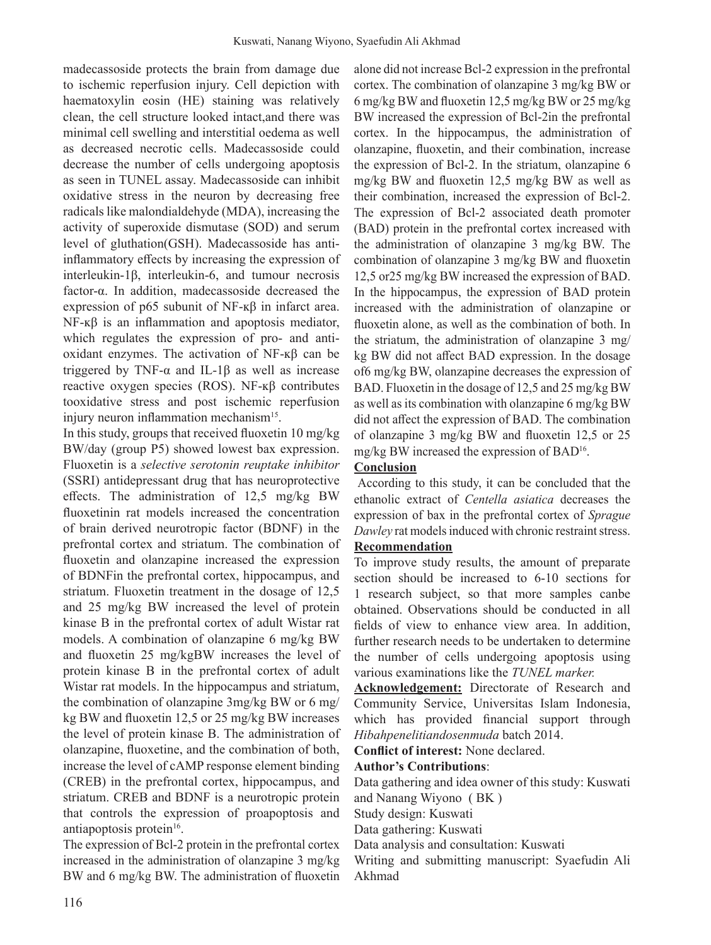madecassoside protects the brain from damage due to ischemic reperfusion injury. Cell depiction with haematoxylin eosin (HE) staining was relatively clean, the cell structure looked intact,and there was minimal cell swelling and interstitial oedema as well as decreased necrotic cells. Madecassoside could decrease the number of cells undergoing apoptosis as seen in TUNEL assay. Madecassoside can inhibit oxidative stress in the neuron by decreasing free radicals like malondialdehyde (MDA), increasing the activity of superoxide dismutase (SOD) and serum level of gluthation(GSH). Madecassoside has antiinflammatory effects by increasing the expression of interleukin-1β, interleukin-6, and tumour necrosis factor-α. In addition, madecassoside decreased the expression of p65 subunit of NF- $κβ$  in infarct area. NF-ĸβ is an inflammation and apoptosis mediator, which regulates the expression of pro- and antioxidant enzymes. The activation of NF-ĸβ can be triggered by TNF-α and IL-1β as well as increase reactive oxygen species (ROS). NF-ĸβ contributes tooxidative stress and post ischemic reperfusion injury neuron inflammation mechanism<sup>15</sup>.

In this study, groups that received fluoxetin 10 mg/kg BW/day (group P5) showed lowest bax expression. Fluoxetin is a *selective serotonin reuptake inhibitor* (SSRI) antidepressant drug that has neuroprotective effects. The administration of 12,5 mg/kg BW fluoxetinin rat models increased the concentration of brain derived neurotropic factor (BDNF) in the prefrontal cortex and striatum. The combination of fluoxetin and olanzapine increased the expression of BDNFin the prefrontal cortex, hippocampus, and striatum. Fluoxetin treatment in the dosage of 12,5 and 25 mg/kg BW increased the level of protein kinase B in the prefrontal cortex of adult Wistar rat models. A combination of olanzapine 6 mg/kg BW and fluoxetin 25 mg/kgBW increases the level of protein kinase B in the prefrontal cortex of adult Wistar rat models. In the hippocampus and striatum, the combination of olanzapine 3mg/kg BW or 6 mg/ kg BW and fluoxetin 12,5 or 25 mg/kg BW increases the level of protein kinase B. The administration of olanzapine, fluoxetine, and the combination of both, increase the level of cAMP response element binding (CREB) in the prefrontal cortex, hippocampus, and striatum. CREB and BDNF is a neurotropic protein that controls the expression of proapoptosis and antiapoptosis protein $16$ .

The expression of Bcl-2 protein in the prefrontal cortex increased in the administration of olanzapine 3 mg/kg BW and 6 mg/kg BW. The administration of fluoxetin

alone did not increase Bcl-2 expression in the prefrontal cortex. The combination of olanzapine 3 mg/kg BW or 6 mg/kg BW and fluoxetin 12,5 mg/kg BW or 25 mg/kg BW increased the expression of Bcl-2in the prefrontal cortex. In the hippocampus, the administration of olanzapine, fluoxetin, and their combination, increase the expression of Bcl-2. In the striatum, olanzapine 6 mg/kg BW and fluoxetin 12,5 mg/kg BW as well as their combination, increased the expression of Bcl-2. The expression of Bcl-2 associated death promoter (BAD) protein in the prefrontal cortex increased with the administration of olanzapine 3 mg/kg BW. The combination of olanzapine 3 mg/kg BW and fluoxetin 12,5 or25 mg/kg BW increased the expression of BAD. In the hippocampus, the expression of BAD protein increased with the administration of olanzapine or fluoxetin alone, as well as the combination of both. In the striatum, the administration of olanzapine 3 mg/ kg BW did not affect BAD expression. In the dosage of6 mg/kg BW, olanzapine decreases the expression of BAD. Fluoxetin in the dosage of 12,5 and 25 mg/kg BW as well as its combination with olanzapine 6 mg/kg BW did not affect the expression of BAD. The combination of olanzapine 3 mg/kg BW and fluoxetin 12,5 or 25 mg/kg BW increased the expression of BAD16.

# **Conclusion**

 According to this study, it can be concluded that the ethanolic extract of *Centella asiatica* decreases the expression of bax in the prefrontal cortex of *Sprague*  Dawley rat models induced with chronic restraint stress.

# **Recommendation**

To improve study results, the amount of preparate section should be increased to 6-10 sections for 1 research subject, so that more samples canbe obtained. Observations should be conducted in all fields of view to enhance view area. In addition, further research needs to be undertaken to determine the number of cells undergoing apoptosis using various examinations like the *TUNEL marker.* 

**Acknowledgement:** Directorate of Research and Community Service, Universitas Islam Indonesia, which has provided financial support through *Hibahpenelitiandosenmuda* batch 2014.

**Conflict of interest:** None declared.

#### **Author's Contributions**:

Data gathering and idea owner of this study: Kuswati and Nanang Wiyono ( BK )

Study design: Kuswati

Data gathering: Kuswati

Data analysis and consultation: Kuswati

Writing and submitting manuscript: Syaefudin Ali Akhmad